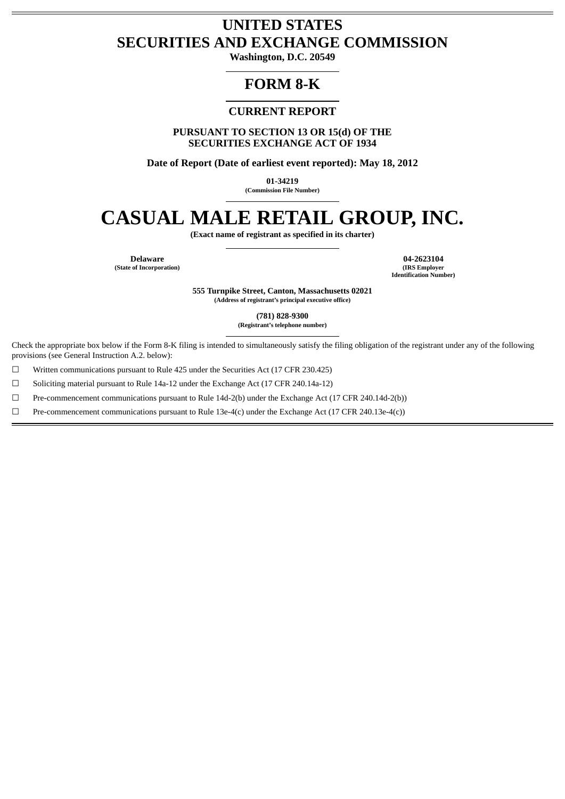# **UNITED STATES SECURITIES AND EXCHANGE COMMISSION**

**Washington, D.C. 20549**

## **FORM 8-K**

## **CURRENT REPORT**

**PURSUANT TO SECTION 13 OR 15(d) OF THE SECURITIES EXCHANGE ACT OF 1934**

**Date of Report (Date of earliest event reported): May 18, 2012**

**01-34219**

**(Commission File Number)**

# **CASUAL MALE RETAIL GROUP, INC.**

**(Exact name of registrant as specified in its charter)**

**(State of Incorporation)** 

**Delaware 04-2623104 Identification Number)**

> **555 Turnpike Street, Canton, Massachusetts 02021 (Address of registrant's principal executive office)**

> > **(781) 828-9300**

**(Registrant's telephone number)**

Check the appropriate box below if the Form 8-K filing is intended to simultaneously satisfy the filing obligation of the registrant under any of the following provisions (see General Instruction A.2. below):

 $\Box$  Written communications pursuant to Rule 425 under the Securities Act (17 CFR 230.425)

☐ Soliciting material pursuant to Rule 14a-12 under the Exchange Act (17 CFR 240.14a-12)

☐ Pre-commencement communications pursuant to Rule 14d-2(b) under the Exchange Act (17 CFR 240.14d-2(b))

☐ Pre-commencement communications pursuant to Rule 13e-4(c) under the Exchange Act (17 CFR 240.13e-4(c))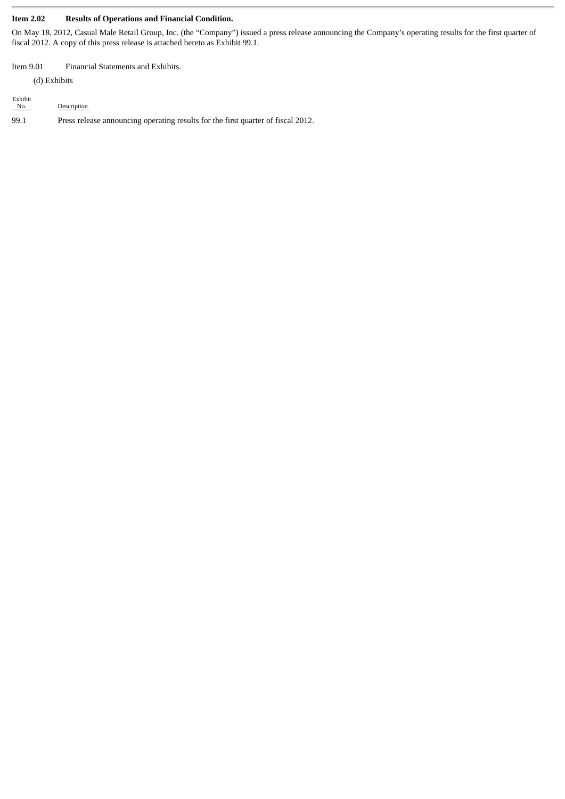#### **Item 2.02 Results of Operations and Financial Condition.**

On May 18, 2012, Casual Male Retail Group, Inc. (the "Company") issued a press release announcing the Company's operating results for the first quarter of fiscal 2012. A copy of this press release is attached hereto as Exhibit 99.1.

#### Item 9.01 Financial Statements and Exhibits.

(d) Exhibits

| Exhibit<br>No. | Description                                                                      |
|----------------|----------------------------------------------------------------------------------|
| 99.1           | Press release announcing operating results for the first quarter of fiscal 2012. |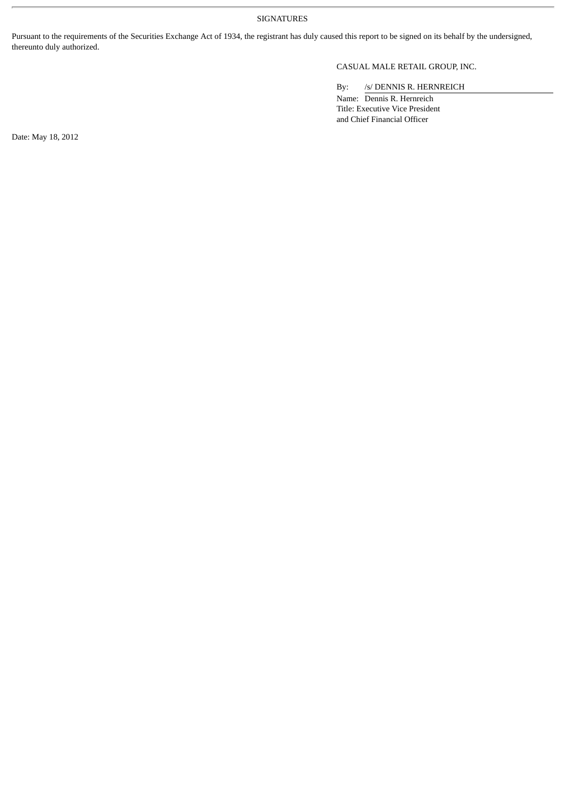SIGNATURES

Pursuant to the requirements of the Securities Exchange Act of 1934, the registrant has duly caused this report to be signed on its behalf by the undersigned, thereunto duly authorized.

### CASUAL MALE RETAIL GROUP, INC.

By: /s/ DENNIS R. HERNREICH

Name: Dennis R. Hernreich Title: Executive Vice President and Chief Financial Officer

Date: May 18, 2012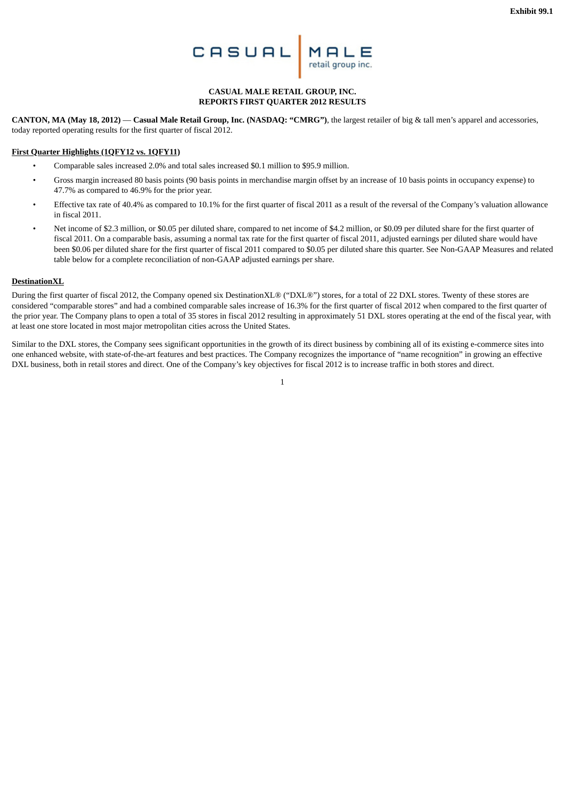

#### **CASUAL MALE RETAIL GROUP, INC. REPORTS FIRST QUARTER 2012 RESULTS**

**CANTON, MA (May 18, 2012)** — **Casual Male Retail Group, Inc. (NASDAQ: "CMRG")**, the largest retailer of big & tall men's apparel and accessories, today reported operating results for the first quarter of fiscal 2012.

#### **First Quarter Highlights (1QFY12 vs. 1QFY11)**

- Comparable sales increased 2.0% and total sales increased \$0.1 million to \$95.9 million.
- Gross margin increased 80 basis points (90 basis points in merchandise margin offset by an increase of 10 basis points in occupancy expense) to 47.7% as compared to 46.9% for the prior year.
- Effective tax rate of 40.4% as compared to 10.1% for the first quarter of fiscal 2011 as a result of the reversal of the Company's valuation allowance in fiscal 2011.
- Net income of \$2.3 million, or \$0.05 per diluted share, compared to net income of \$4.2 million, or \$0.09 per diluted share for the first quarter of fiscal 2011. On a comparable basis, assuming a normal tax rate for the first quarter of fiscal 2011, adjusted earnings per diluted share would have been \$0.06 per diluted share for the first quarter of fiscal 2011 compared to \$0.05 per diluted share this quarter. See Non-GAAP Measures and related table below for a complete reconciliation of non-GAAP adjusted earnings per share.

#### **DestinationXL**

During the first quarter of fiscal 2012, the Company opened six DestinationXL® ("DXL®") stores, for a total of 22 DXL stores. Twenty of these stores are considered "comparable stores" and had a combined comparable sales increase of 16.3% for the first quarter of fiscal 2012 when compared to the first quarter of the prior year. The Company plans to open a total of 35 stores in fiscal 2012 resulting in approximately 51 DXL stores operating at the end of the fiscal year, with at least one store located in most major metropolitan cities across the United States.

Similar to the DXL stores, the Company sees significant opportunities in the growth of its direct business by combining all of its existing e-commerce sites into one enhanced website, with state-of-the-art features and best practices. The Company recognizes the importance of "name recognition" in growing an effective DXL business, both in retail stores and direct. One of the Company's key objectives for fiscal 2012 is to increase traffic in both stores and direct.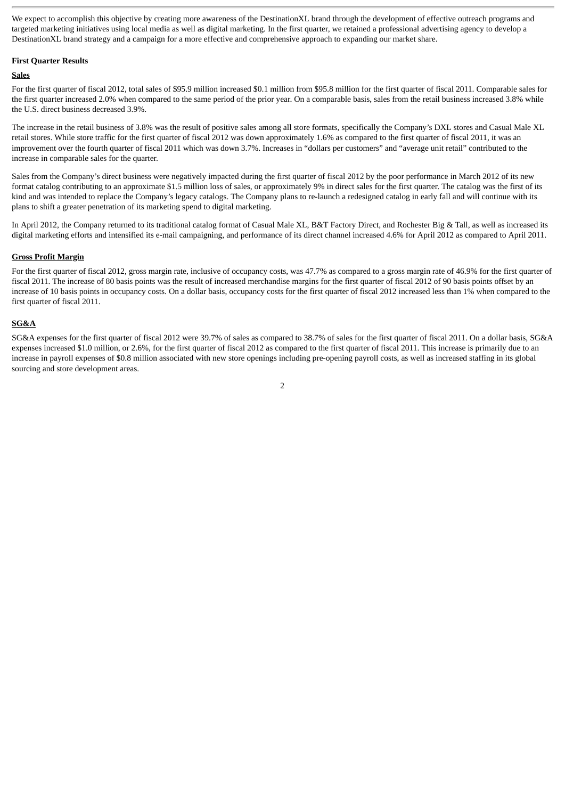We expect to accomplish this objective by creating more awareness of the DestinationXL brand through the development of effective outreach programs and targeted marketing initiatives using local media as well as digital marketing. In the first quarter, we retained a professional advertising agency to develop a DestinationXL brand strategy and a campaign for a more effective and comprehensive approach to expanding our market share.

#### **First Quarter Results**

#### **Sales**

For the first quarter of fiscal 2012, total sales of \$95.9 million increased \$0.1 million from \$95.8 million for the first quarter of fiscal 2011. Comparable sales for the first quarter increased 2.0% when compared to the same period of the prior year. On a comparable basis, sales from the retail business increased 3.8% while the U.S. direct business decreased 3.9%.

The increase in the retail business of 3.8% was the result of positive sales among all store formats, specifically the Company's DXL stores and Casual Male XL retail stores. While store traffic for the first quarter of fiscal 2012 was down approximately 1.6% as compared to the first quarter of fiscal 2011, it was an improvement over the fourth quarter of fiscal 2011 which was down 3.7%. Increases in "dollars per customers" and "average unit retail" contributed to the increase in comparable sales for the quarter.

Sales from the Company's direct business were negatively impacted during the first quarter of fiscal 2012 by the poor performance in March 2012 of its new format catalog contributing to an approximate \$1.5 million loss of sales, or approximately 9% in direct sales for the first quarter. The catalog was the first of its kind and was intended to replace the Company's legacy catalogs. The Company plans to re-launch a redesigned catalog in early fall and will continue with its plans to shift a greater penetration of its marketing spend to digital marketing.

In April 2012, the Company returned to its traditional catalog format of Casual Male XL, B&T Factory Direct, and Rochester Big & Tall, as well as increased its digital marketing efforts and intensified its e-mail campaigning, and performance of its direct channel increased 4.6% for April 2012 as compared to April 2011.

#### **Gross Profit Margin**

For the first quarter of fiscal 2012, gross margin rate, inclusive of occupancy costs, was 47.7% as compared to a gross margin rate of 46.9% for the first quarter of fiscal 2011. The increase of 80 basis points was the result of increased merchandise margins for the first quarter of fiscal 2012 of 90 basis points offset by an increase of 10 basis points in occupancy costs. On a dollar basis, occupancy costs for the first quarter of fiscal 2012 increased less than 1% when compared to the first quarter of fiscal 2011.

#### **SG&A**

SG&A expenses for the first quarter of fiscal 2012 were 39.7% of sales as compared to 38.7% of sales for the first quarter of fiscal 2011. On a dollar basis, SG&A expenses increased \$1.0 million, or 2.6%, for the first quarter of fiscal 2012 as compared to the first quarter of fiscal 2011. This increase is primarily due to an increase in payroll expenses of \$0.8 million associated with new store openings including pre-opening payroll costs, as well as increased staffing in its global sourcing and store development areas.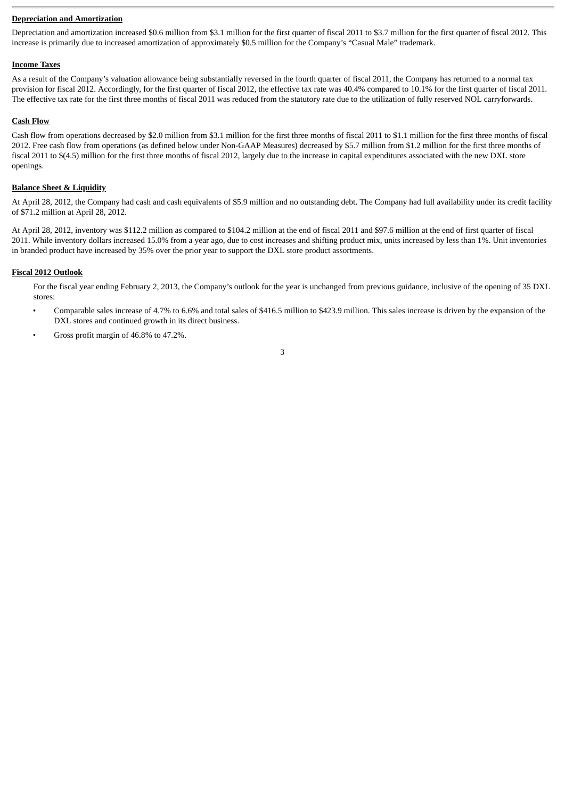#### **Depreciation and Amortization**

Depreciation and amortization increased \$0.6 million from \$3.1 million for the first quarter of fiscal 2011 to \$3.7 million for the first quarter of fiscal 2012. This increase is primarily due to increased amortization of approximately \$0.5 million for the Company's "Casual Male" trademark.

#### **Income Taxes**

As a result of the Company's valuation allowance being substantially reversed in the fourth quarter of fiscal 2011, the Company has returned to a normal tax provision for fiscal 2012. Accordingly, for the first quarter of fiscal 2012, the effective tax rate was 40.4% compared to 10.1% for the first quarter of fiscal 2011. The effective tax rate for the first three months of fiscal 2011 was reduced from the statutory rate due to the utilization of fully reserved NOL carryforwards.

#### **Cash Flow**

Cash flow from operations decreased by \$2.0 million from \$3.1 million for the first three months of fiscal 2011 to \$1.1 million for the first three months of fiscal 2012. Free cash flow from operations (as defined below under Non-GAAP Measures) decreased by \$5.7 million from \$1.2 million for the first three months of fiscal 2011 to \$(4.5) million for the first three months of fiscal 2012, largely due to the increase in capital expenditures associated with the new DXL store openings.

#### **Balance Sheet & Liquidity**

At April 28, 2012, the Company had cash and cash equivalents of \$5.9 million and no outstanding debt. The Company had full availability under its credit facility of \$71.2 million at April 28, 2012.

At April 28, 2012, inventory was \$112.2 million as compared to \$104.2 million at the end of fiscal 2011 and \$97.6 million at the end of first quarter of fiscal 2011. While inventory dollars increased 15.0% from a year ago, due to cost increases and shifting product mix, units increased by less than 1%. Unit inventories in branded product have increased by 35% over the prior year to support the DXL store product assortments.

#### **Fiscal 2012 Outlook**

For the fiscal year ending February 2, 2013, the Company's outlook for the year is unchanged from previous guidance, inclusive of the opening of 35 DXL stores:

- Comparable sales increase of 4.7% to 6.6% and total sales of \$416.5 million to \$423.9 million. This sales increase is driven by the expansion of the DXL stores and continued growth in its direct business.
- Gross profit margin of 46.8% to 47.2%.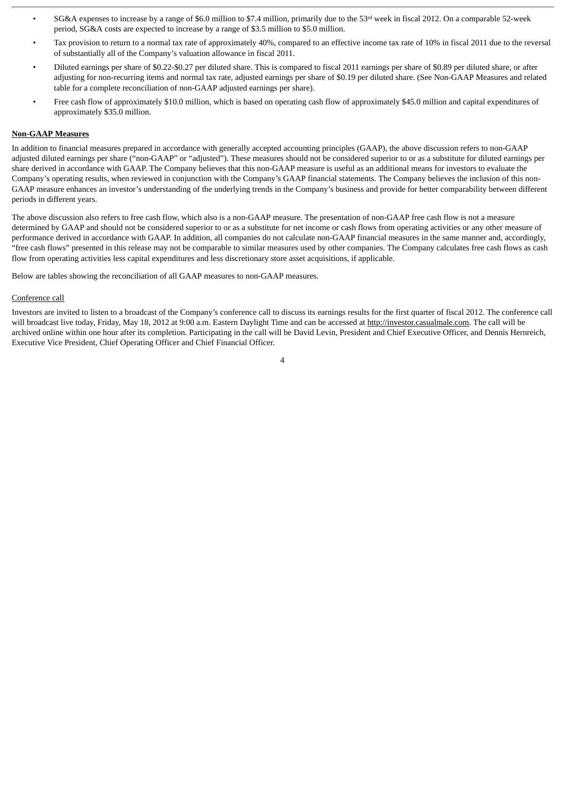- SG&A expenses to increase by a range of \$6.0 million to \$7.4 million, primarily due to the 53<sup>rd</sup> week in fiscal 2012. On a comparable 52-week period, SG&A costs are expected to increase by a range of \$3.5 million to \$5.0 million.
- Tax provision to return to a normal tax rate of approximately 40%, compared to an effective income tax rate of 10% in fiscal 2011 due to the reversal of substantially all of the Company's valuation allowance in fiscal 2011.
- Diluted earnings per share of \$0.22-\$0.27 per diluted share. This is compared to fiscal 2011 earnings per share of \$0.89 per diluted share, or after adjusting for non-recurring items and normal tax rate, adjusted earnings per share of \$0.19 per diluted share. (See Non-GAAP Measures and related table for a complete reconciliation of non-GAAP adjusted earnings per share).
- Free cash flow of approximately \$10.0 million, which is based on operating cash flow of approximately \$45.0 million and capital expenditures of approximately \$35.0 million.

#### **Non-GAAP Measures**

In addition to financial measures prepared in accordance with generally accepted accounting principles (GAAP), the above discussion refers to non-GAAP adjusted diluted earnings per share ("non-GAAP" or "adjusted"). These measures should not be considered superior to or as a substitute for diluted earnings per share derived in accordance with GAAP. The Company believes that this non-GAAP measure is useful as an additional means for investors to evaluate the Company's operating results, when reviewed in conjunction with the Company's GAAP financial statements. The Company believes the inclusion of this non-GAAP measure enhances an investor's understanding of the underlying trends in the Company's business and provide for better comparability between different periods in different years.

The above discussion also refers to free cash flow, which also is a non-GAAP measure. The presentation of non-GAAP free cash flow is not a measure determined by GAAP and should not be considered superior to or as a substitute for net income or cash flows from operating activities or any other measure of performance derived in accordance with GAAP. In addition, all companies do not calculate non-GAAP financial measures in the same manner and, accordingly, "free cash flows" presented in this release may not be comparable to similar measures used by other companies. The Company calculates free cash flows as cash flow from operating activities less capital expenditures and less discretionary store asset acquisitions, if applicable.

Below are tables showing the reconciliation of all GAAP measures to non-GAAP measures.

#### Conference call

Investors are invited to listen to a broadcast of the Company's conference call to discuss its earnings results for the first quarter of fiscal 2012. The conference call will broadcast live today, Friday, May 18, 2012 at 9:00 a.m. Eastern Daylight Time and can be accessed at http://investor.casualmale.com. The call will be archived online within one hour after its completion. Participating in the call will be David Levin, President and Chief Executive Officer, and Dennis Hernreich, Executive Vice President, Chief Operating Officer and Chief Financial Officer.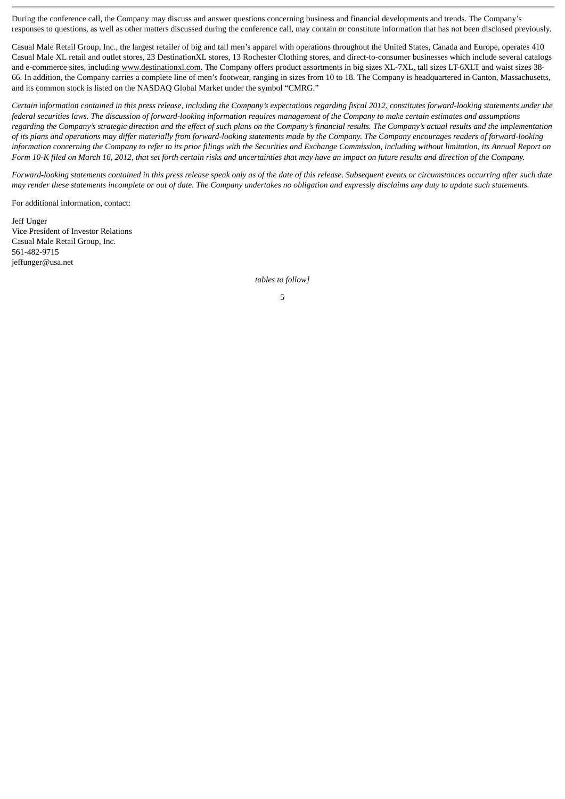During the conference call, the Company may discuss and answer questions concerning business and financial developments and trends. The Company's responses to questions, as well as other matters discussed during the conference call, may contain or constitute information that has not been disclosed previously.

Casual Male Retail Group, Inc., the largest retailer of big and tall men's apparel with operations throughout the United States, Canada and Europe, operates 410 Casual Male XL retail and outlet stores, 23 DestinationXL stores, 13 Rochester Clothing stores, and direct-to-consumer businesses which include several catalogs and e-commerce sites, including www.destinationxl.com. The Company offers product assortments in big sizes XL-7XL, tall sizes LT-6XLT and waist sizes 38-66. In addition, the Company carries a complete line of men's footwear, ranging in sizes from 10 to 18. The Company is headquartered in Canton, Massachusetts, and its common stock is listed on the NASDAQ Global Market under the symbol "CMRG."

*Certain information contained in this press release, including the Company's expectations regarding fiscal 2012, constitutes forward-looking statements under the federal securities laws. The discussion of forward-looking information requires management of the Company to make certain estimates and assumptions regarding the Company's strategic direction and the effect of such plans on the Company's financial results. The Company's actual results and the implementation of its plans and operations may differ materially from forward-looking statements made by the Company. The Company encourages readers of forward-looking information concerning the Company to refer to its prior filings with the Securities and Exchange Commission, including without limitation, its Annual Report on Form 10-K filed on March 16, 2012, that set forth certain risks and uncertainties that may have an impact on future results and direction of the Company.*

*Forward-looking statements contained in this press release speak only as of the date of this release. Subsequent events or circumstances occurring after such date may render these statements incomplete or out of date. The Company undertakes no obligation and expressly disclaims any duty to update such statements.*

For additional information, contact:

Jeff Unger Vice President of Investor Relations Casual Male Retail Group, Inc. 561-482-9715 jeffunger@usa.net

*tables to follow]*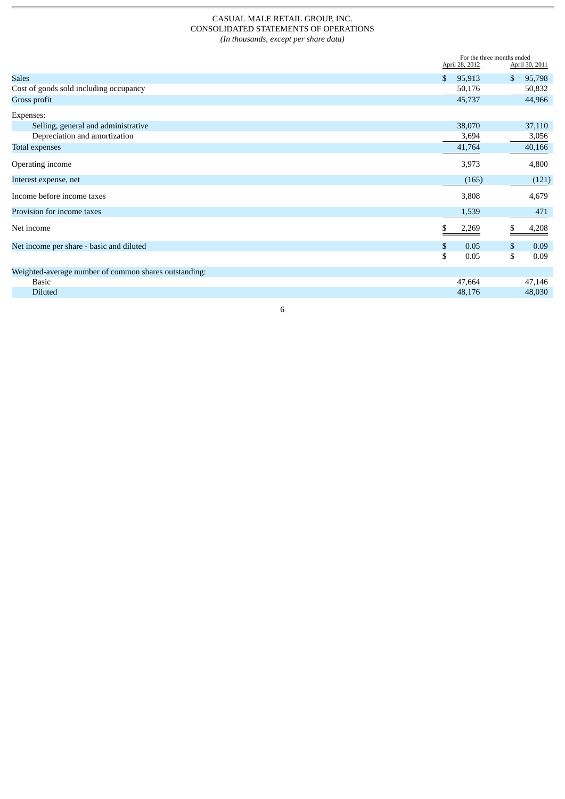#### CASUAL MALE RETAIL GROUP, INC. CONSOLIDATED STATEMENTS OF OPERATIONS *(In thousands, except per share data)*

|                                                       | April 28, 2012         | For the three months ended<br>April 30, 2011 |  |  |
|-------------------------------------------------------|------------------------|----------------------------------------------|--|--|
| <b>Sales</b>                                          | $\mathbf{s}$<br>95,913 | 95,798<br>\$                                 |  |  |
| Cost of goods sold including occupancy                | 50,176                 | 50,832                                       |  |  |
| Gross profit                                          | 45,737                 | 44,966                                       |  |  |
| Expenses:                                             |                        |                                              |  |  |
| Selling, general and administrative                   | 38,070                 | 37,110                                       |  |  |
| Depreciation and amortization                         | 3,694                  | 3,056                                        |  |  |
| Total expenses                                        | 41,764                 | 40,166                                       |  |  |
| Operating income                                      | 3,973                  | 4,800                                        |  |  |
| Interest expense, net                                 | (165)                  | (121)                                        |  |  |
| Income before income taxes                            | 3,808                  | 4,679                                        |  |  |
| Provision for income taxes                            | 1,539                  | 471                                          |  |  |
| Net income                                            | 2,269                  | 4,208                                        |  |  |
| Net income per share - basic and diluted              | \$<br>0.05             | 0.09<br>\$                                   |  |  |
|                                                       | \$<br>0.05             | \$<br>0.09                                   |  |  |
| Weighted-average number of common shares outstanding: |                        |                                              |  |  |
| <b>Basic</b>                                          | 47,664                 | 47,146                                       |  |  |
| <b>Diluted</b>                                        | 48,176                 | 48,030                                       |  |  |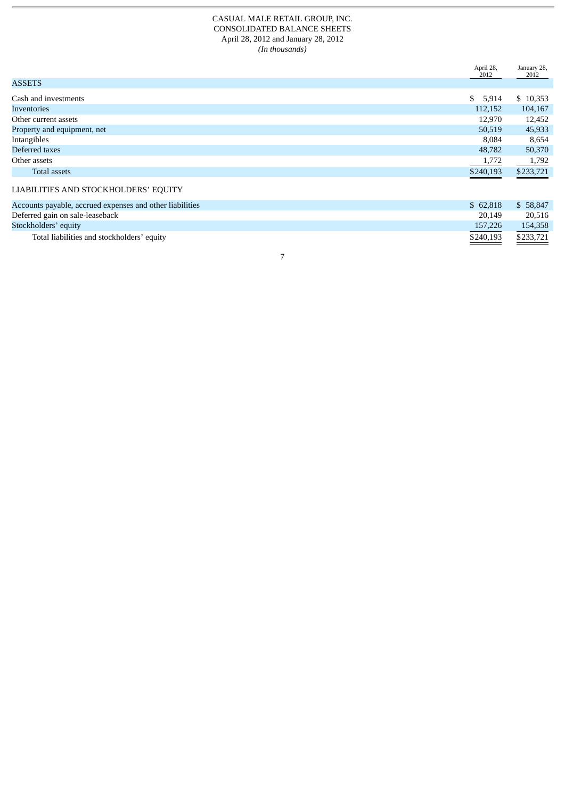#### CASUAL MALE RETAIL GROUP, INC. CONSOLIDATED BALANCE SHEETS April 28, 2012 and January 28, 2012 *(In thousands)*

|                                                          | April 28,<br>2012 | January 28,<br>2012 |
|----------------------------------------------------------|-------------------|---------------------|
| <b>ASSETS</b>                                            |                   |                     |
| Cash and investments                                     | \$5,914           | \$10,353            |
| Inventories                                              | 112,152           | 104,167             |
| Other current assets                                     | 12,970            | 12,452              |
| Property and equipment, net                              | 50,519            | 45,933              |
| Intangibles                                              | 8.084             | 8,654               |
| Deferred taxes                                           | 48,782            | 50,370              |
| Other assets                                             | 1,772             | 1,792               |
| <b>Total assets</b>                                      | \$240,193         | \$233,721           |
| LIABILITIES AND STOCKHOLDERS' EQUITY                     |                   |                     |
| Accounts payable, accrued expenses and other liabilities | \$62,818          | \$58,847            |
| Deferred gain on sale-leaseback                          | 20,149            | 20,516              |

7

Stockholders' equity 157,226 154,358 Total liabilities and stockholders' equity  $\overline{$}233,721$